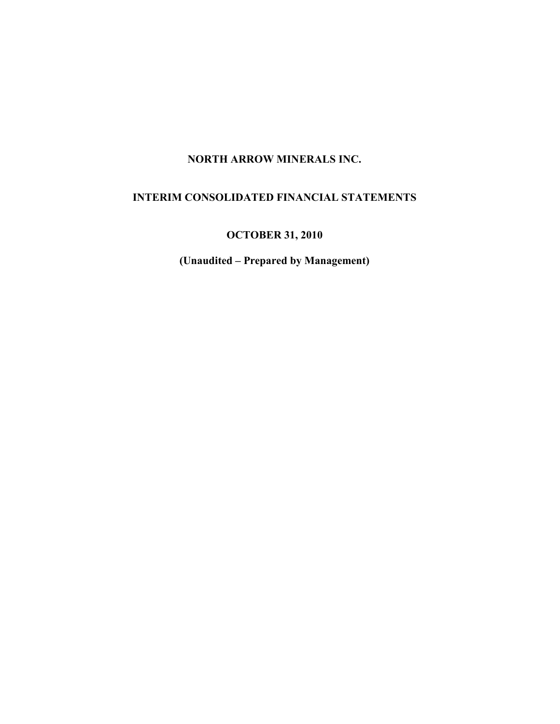# NORTH ARROW MINERALS INC.

# INTERIM CONSOLIDATED FINANCIAL STATEMENTS

OCTOBER 31, 2010

(Unaudited – Prepared by Management)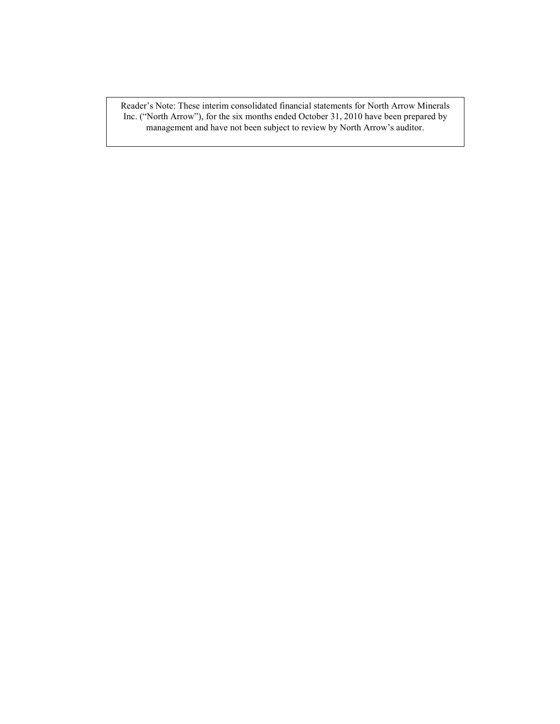Reader's Note: These interim consolidated financial statements for North Arrow Minerals Inc. ("North Arrow"), for the six months ended October 31, 2010 have been prepared by management and have not been subject to review by North Arrow's auditor.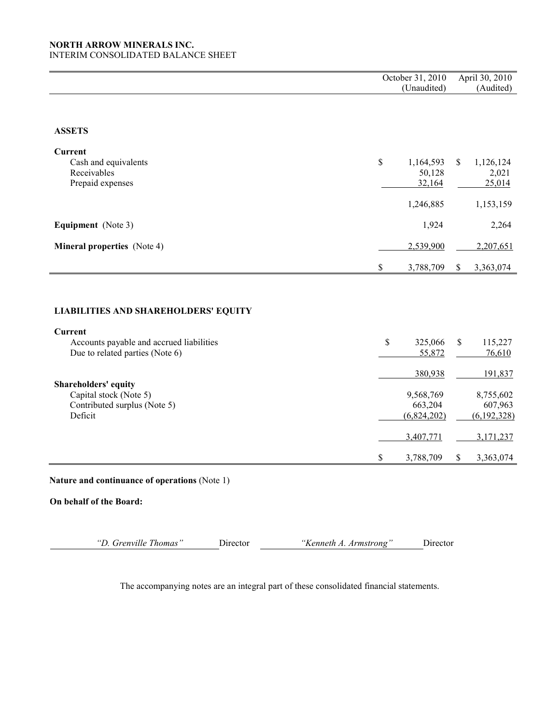### NORTH ARROW MINERALS INC. INTERIM CONSOLIDATED BALANCE SHEET

|                                                                                                  |              | October 31, 2010<br>(Unaudited)                |              | April 30, 2010<br>(Audited)                      |
|--------------------------------------------------------------------------------------------------|--------------|------------------------------------------------|--------------|--------------------------------------------------|
|                                                                                                  |              |                                                |              |                                                  |
| <b>ASSETS</b>                                                                                    |              |                                                |              |                                                  |
| Current<br>Cash and equivalents<br>Receivables<br>Prepaid expenses                               | \$           | 1,164,593<br>50,128<br>32,164<br>1,246,885     | \$           | 1,126,124<br>2,021<br>25,014<br>1,153,159        |
| <b>Equipment</b> (Note 3)                                                                        |              | 1,924                                          |              | 2,264                                            |
| <b>Mineral properties</b> (Note 4)                                                               |              | 2,539,900                                      |              | 2,207,651                                        |
|                                                                                                  | $\mathbb{S}$ | 3,788,709                                      | $\mathbb{S}$ | 3,363,074                                        |
|                                                                                                  |              |                                                |              |                                                  |
| <b>LIABILITIES AND SHAREHOLDERS' EQUITY</b>                                                      |              |                                                |              |                                                  |
| <b>Current</b><br>Accounts payable and accrued liabilities<br>Due to related parties (Note 6)    | \$           | 325,066<br>55,872                              | \$           | 115,227<br>76,610                                |
| <b>Shareholders' equity</b><br>Capital stock (Note 5)<br>Contributed surplus (Note 5)<br>Deficit |              | 380,938<br>9,568,769<br>663,204<br>(6,824,202) |              | 191,837<br>8,755,602<br>607,963<br>(6, 192, 328) |
|                                                                                                  | \$           | 3,407,771<br>3,788,709                         | \$           | 3,171,237<br>3,363,074                           |

Nature and continuance of operations (Note 1)

On behalf of the Board:

"D. Grenville Thomas" Director "Kenneth A. Armstrong" Director

The accompanying notes are an integral part of these consolidated financial statements.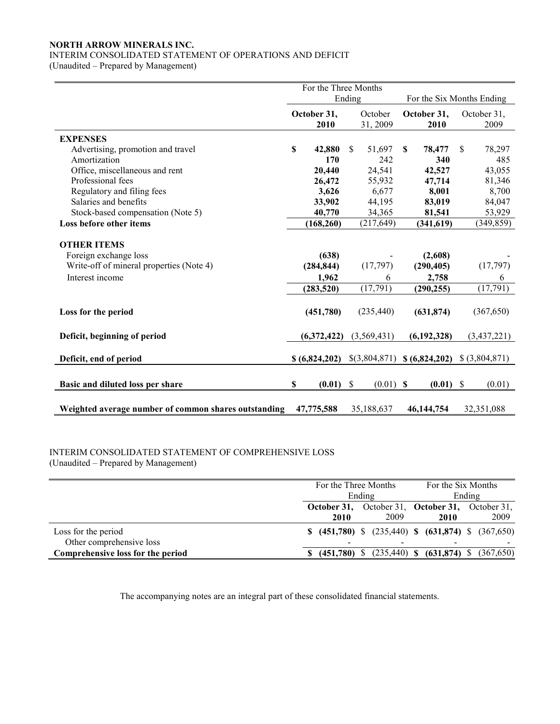# NORTH ARROW MINERALS INC.

# INTERIM CONSOLIDATED STATEMENT OF OPERATIONS AND DEFICIT

(Unaudited – Prepared by Management)

|                                                                                         |                                     | For the Three Months |              |               |               |                       |    |                |
|-----------------------------------------------------------------------------------------|-------------------------------------|----------------------|--------------|---------------|---------------|-----------------------|----|----------------|
|                                                                                         | Ending<br>For the Six Months Ending |                      |              |               |               |                       |    |                |
|                                                                                         |                                     | October 31,          |              | October       | October 31,   |                       |    | October 31,    |
|                                                                                         |                                     | 2010                 |              | 31, 2009      |               | 2010                  |    | 2009           |
| <b>EXPENSES</b>                                                                         |                                     |                      |              |               |               |                       |    |                |
| Advertising, promotion and travel                                                       | $\mathbf S$                         | 42,880               | \$           | 51,697        | <sup>\$</sup> | 78,477                | \$ | 78,297         |
| Amortization                                                                            |                                     | 170                  |              | 242           |               | 340                   |    | 485            |
| Office, miscellaneous and rent                                                          |                                     | 20,440               |              | 24,541        |               | 42,527                |    | 43,055         |
| Professional fees                                                                       |                                     | 26,472               |              | 55,932        |               | 47,714                |    | 81,346         |
| Regulatory and filing fees                                                              |                                     | 3,626                |              | 6,677         |               | 8,001                 |    | 8,700          |
| Salaries and benefits                                                                   |                                     | 33,902               |              | 44,195        |               | 83,019                |    | 84,047         |
| Stock-based compensation (Note 5)                                                       |                                     | 40,770               |              | 34,365        |               | 81,541                |    | 53,929         |
| Loss before other items                                                                 |                                     | (168, 260)           |              | (217, 649)    |               | (341, 619)            |    | (349, 859)     |
| <b>OTHER ITEMS</b><br>Foreign exchange loss<br>Write-off of mineral properties (Note 4) |                                     | (638)<br>(284, 844)  |              | (17, 797)     |               | (2,608)<br>(290, 405) |    | (17, 797)      |
| Interest income                                                                         |                                     | 1,962                |              | 6             |               | 2,758                 |    | 6              |
|                                                                                         |                                     | (283, 520)           |              | (17, 791)     |               | (290, 255)            |    | (17, 791)      |
| Loss for the period                                                                     |                                     | (451,780)            |              | (235, 440)    |               | (631, 874)            |    | (367, 650)     |
| Deficit, beginning of period                                                            |                                     | (6,372,422)          |              | (3,569,431)   |               | (6,192,328)           |    | (3, 437, 221)  |
| Deficit, end of period                                                                  |                                     | \$ (6,824,202)       |              | \$(3,804,871) |               | \$ (6,824,202)        |    | \$ (3,804,871) |
| Basic and diluted loss per share                                                        | \$                                  | (0.01)               | $\mathbb{S}$ | $(0.01)$ \$   |               | $(0.01)$ \$           |    | (0.01)         |
| Weighted average number of common shares outstanding                                    |                                     | 47,775,588           |              | 35,188,637    |               | 46, 144, 754          |    | 32,351,088     |

# INTERIM CONSOLIDATED STATEMENT OF COMPREHENSIVE LOSS

(Unaudited – Prepared by Management)

|                                   | For the Three Months |             | For the Six Months |                                                         |        |
|-----------------------------------|----------------------|-------------|--------------------|---------------------------------------------------------|--------|
|                                   | Ending               |             |                    |                                                         | Ending |
|                                   |                      |             |                    | October 31, October 31, October 31, October 31,         |        |
|                                   |                      | <b>2010</b> | 2009               | 2010                                                    | 2009   |
| Loss for the period               |                      |             |                    | $$$ (451,780) $$$ (235,440) $$$ (631,874) $$$ (367,650) |        |
| Other comprehensive loss          |                      |             |                    |                                                         |        |
| Comprehensive loss for the period |                      | \$(451,780) |                    | $(235,440)$ \$ $(631,874)$ \$ $(367,650)$               |        |

The accompanying notes are an integral part of these consolidated financial statements.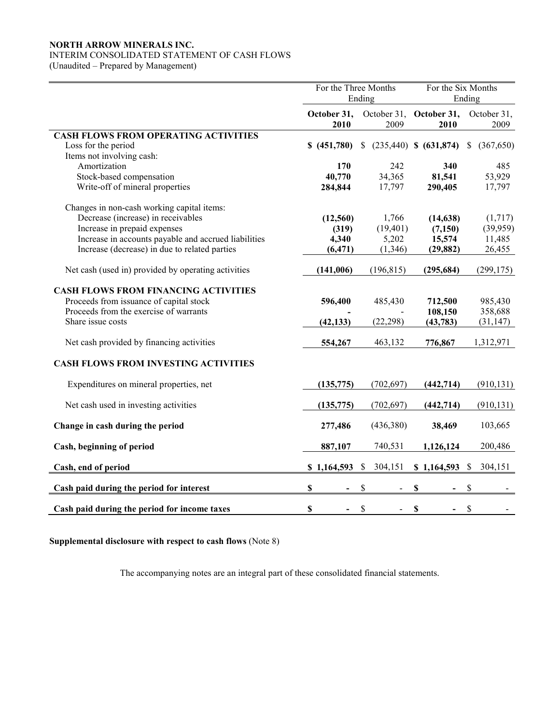# NORTH ARROW MINERALS INC.

# INTERIM CONSOLIDATED STATEMENT OF CASH FLOWS

(Unaudited – Prepared by Management)

|                                                      | For the Three Months<br>Ending |                                      | For the Six Months        | Ending                    |  |
|------------------------------------------------------|--------------------------------|--------------------------------------|---------------------------|---------------------------|--|
|                                                      | October 31,<br>2010            | October 31,<br>2009                  | October 31,<br>2010       | October 31,<br>2009       |  |
| <b>CASH FLOWS FROM OPERATING ACTIVITIES</b>          |                                |                                      |                           |                           |  |
| Loss for the period                                  | \$ (451,780)                   |                                      | \$ (235,440) \$ (631,874) | (367,650)<br><sup>S</sup> |  |
| Items not involving cash:                            |                                |                                      |                           |                           |  |
| Amortization                                         | 170                            | 242                                  | 340                       | 485                       |  |
| Stock-based compensation                             | 40,770                         | 34,365                               | 81,541                    | 53,929                    |  |
| Write-off of mineral properties                      | 284,844                        | 17,797                               | 290,405                   | 17,797                    |  |
| Changes in non-cash working capital items:           |                                |                                      |                           |                           |  |
| Decrease (increase) in receivables                   | (12, 560)                      | 1,766                                | (14, 638)                 | (1,717)                   |  |
| Increase in prepaid expenses                         | (319)                          | (19, 401)                            | (7,150)                   | (39,959)                  |  |
| Increase in accounts payable and accrued liabilities | 4,340                          | 5,202                                | 15,574                    | 11,485                    |  |
| Increase (decrease) in due to related parties        | (6, 471)                       | (1, 346)                             | (29, 882)                 | 26,455                    |  |
| Net cash (used in) provided by operating activities  | (141,006)                      | (196, 815)                           | (295, 684)                | (299, 175)                |  |
|                                                      |                                |                                      |                           |                           |  |
| <b>CASH FLOWS FROM FINANCING ACTIVITIES</b>          |                                |                                      |                           |                           |  |
| Proceeds from issuance of capital stock              | 596,400                        | 485,430                              | 712,500                   | 985,430                   |  |
| Proceeds from the exercise of warrants               |                                |                                      | 108,150                   | 358,688                   |  |
| Share issue costs                                    | (42, 133)                      | (22, 298)                            | (43, 783)                 | (31, 147)                 |  |
| Net cash provided by financing activities            | 554,267                        | 463,132                              | 776,867                   | 1,312,971                 |  |
| <b>CASH FLOWS FROM INVESTING ACTIVITIES</b>          |                                |                                      |                           |                           |  |
| Expenditures on mineral properties, net              | (135, 775)                     | (702, 697)                           | (442, 714)                | (910, 131)                |  |
| Net cash used in investing activities                | (135, 775)                     | (702, 697)                           | (442, 714)                | (910, 131)                |  |
|                                                      |                                |                                      |                           |                           |  |
| Change in cash during the period                     | 277,486                        | (436,380)                            | 38,469                    | 103,665                   |  |
| Cash, beginning of period                            | 887,107                        | 740,531                              | 1,126,124                 | 200,486                   |  |
| Cash, end of period                                  | \$1,164,593                    | 304,151<br>$\boldsymbol{\mathsf{S}}$ | \$1,164,593               | \$<br>304,151             |  |
| Cash paid during the period for interest             | \$                             | \$                                   | \$                        | \$                        |  |
|                                                      |                                |                                      |                           |                           |  |
| Cash paid during the period for income taxes         | \$                             | \$                                   | \$                        | $\mathbb{S}$              |  |

Supplemental disclosure with respect to cash flows (Note 8)

The accompanying notes are an integral part of these consolidated financial statements.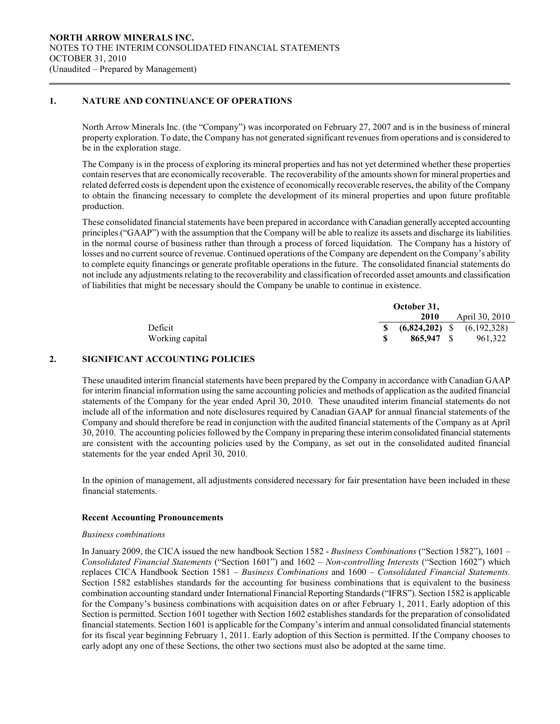## 1. NATURE AND CONTINUANCE OF OPERATIONS

 $\overline{a}$ 

North Arrow Minerals Inc. (the "Company") was incorporated on February 27, 2007 and is in the business of mineral property exploration. To date, the Company has not generated significant revenues from operations and is considered to be in the exploration stage.

The Company is in the process of exploring its mineral properties and has not yet determined whether these properties contain reserves that are economically recoverable. The recoverability of the amounts shown for mineral properties and related deferred costs is dependent upon the existence of economically recoverable reserves, the ability of the Company to obtain the financing necessary to complete the development of its mineral properties and upon future profitable production.

 These consolidated financial statements have been prepared in accordance with Canadian generally accepted accounting principles ("GAAP") with the assumption that the Company will be able to realize its assets and discharge its liabilities in the normal course of business rather than through a process of forced liquidation. The Company has a history of losses and no current source of revenue. Continued operations of the Company are dependent on the Company's ability to complete equity financings or generate profitable operations in the future. The consolidated financial statements do not include any adjustments relating to the recoverability and classification of recorded asset amounts and classification of liabilities that might be necessary should the Company be unable to continue in existence.

|                 |     | October 31, |                                |
|-----------------|-----|-------------|--------------------------------|
|                 |     | 2010        | April 30, 2010                 |
| Deficit         | S S |             | $(6,824,202)$ \$ $(6,192,328)$ |
| Working capital |     | 865,947 \$  | 961.322                        |

#### 2. SIGNIFICANT ACCOUNTING POLICIES

These unaudited interim financial statements have been prepared by the Company in accordance with Canadian GAAP for interim financial information using the same accounting policies and methods of application as the audited financial statements of the Company for the year ended April 30, 2010. These unaudited interim financial statements do not include all of the information and note disclosures required by Canadian GAAP for annual financial statements of the Company and should therefore be read in conjunction with the audited financial statements of the Company as at April 30, 2010. The accounting policies followed by the Company in preparing these interim consolidated financial statements are consistent with the accounting policies used by the Company, as set out in the consolidated audited financial statements for the year ended April 30, 2010.

In the opinion of management, all adjustments considered necessary for fair presentation have been included in these financial statements.

#### Recent Accounting Pronouncements

#### Business combinations

In January 2009, the CICA issued the new handbook Section 1582 - Business Combinations ("Section 1582"), 1601 – Consolidated Financial Statements ("Section 1601") and  $1602 - Non-controlling Interests$  ("Section 1602") which replaces CICA Handbook Section 1581 – Business Combinations and 1600 – Consolidated Financial Statements. Section 1582 establishes standards for the accounting for business combinations that is equivalent to the business combination accounting standard under International Financial Reporting Standards ("IFRS"). Section 1582 is applicable for the Company's business combinations with acquisition dates on or after February 1, 2011. Early adoption of this Section is permitted. Section 1601 together with Section 1602 establishes standards for the preparation of consolidated financial statements. Section 1601 is applicable for the Company's interim and annual consolidated financial statements for its fiscal year beginning February 1, 2011. Early adoption of this Section is permitted. If the Company chooses to early adopt any one of these Sections, the other two sections must also be adopted at the same time.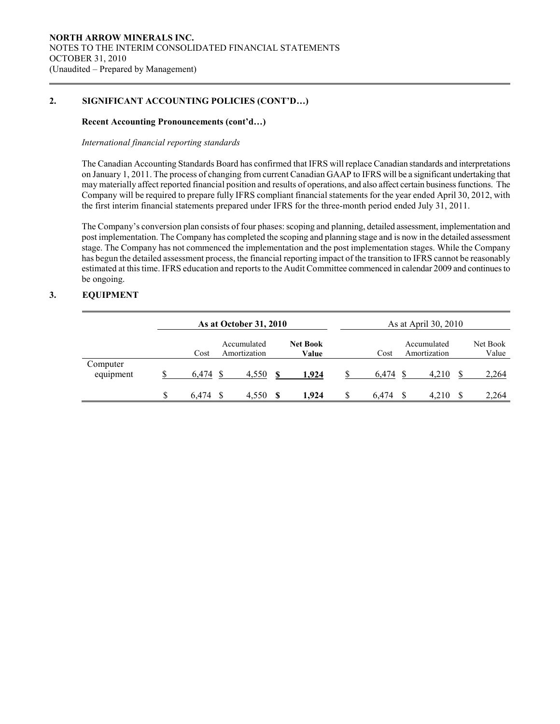# 2. SIGNIFICANT ACCOUNTING POLICIES (CONT'D…)

## Recent Accounting Pronouncements (cont'd…)

#### International financial reporting standards

The Canadian Accounting Standards Board has confirmed that IFRS will replace Canadian standards and interpretations on January 1, 2011. The process of changing from current Canadian GAAP to IFRS will be a significant undertaking that may materially affect reported financial position and results of operations, and also affect certain business functions. The Company will be required to prepare fully IFRS compliant financial statements for the year ended April 30, 2012, with the first interim financial statements prepared under IFRS for the three-month period ended July 31, 2011.

The Company's conversion plan consists of four phases: scoping and planning, detailed assessment, implementation and post implementation. The Company has completed the scoping and planning stage and is now in the detailed assessment stage. The Company has not commenced the implementation and the post implementation stages. While the Company has begun the detailed assessment process, the financial reporting impact of the transition to IFRS cannot be reasonably estimated at this time. IFRS education and reports to the Audit Committee commenced in calendar 2009 and continues to be ongoing.

## 3. EQUIPMENT

 $\overline{a}$ 

|                       | As at October 31, 2010 |       |                             |    |                          | As at April 30, 2010 |                             |                   |
|-----------------------|------------------------|-------|-----------------------------|----|--------------------------|----------------------|-----------------------------|-------------------|
|                       |                        | Cost  | Accumulated<br>Amortization |    | <b>Net Book</b><br>Value | Cost                 | Accumulated<br>Amortization | Net Book<br>Value |
| Computer<br>equipment |                        | 6.474 | 4,550                       | -S | 1,924                    | 6.474                | 4,210                       | 2,264             |
|                       | S                      | 6.474 | 4.550                       |    | 1.924                    | \$<br>6.474          | 4.210                       | 2,264             |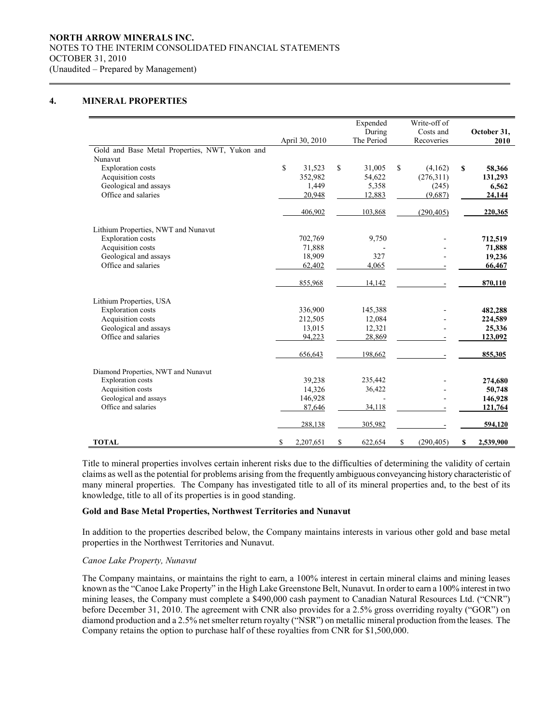### NORTH ARROW MINERALS INC. NOTES TO THE INTERIM CONSOLIDATED FINANCIAL STATEMENTS OCTOBER 31, 2010 (Unaudited – Prepared by Management)

# 4. MINERAL PROPERTIES

 $\overline{a}$ 

|                                                           |                 | Expended      | Write-off of     |                 |
|-----------------------------------------------------------|-----------------|---------------|------------------|-----------------|
|                                                           |                 | During        | Costs and        | October 31,     |
|                                                           | April 30, 2010  | The Period    | Recoveries       | 2010            |
| Gold and Base Metal Properties, NWT, Yukon and<br>Nunavut |                 |               |                  |                 |
| <b>Exploration</b> costs                                  | \$<br>31,523    | \$<br>31,005  | \$<br>(4,162)    | \$<br>58,366    |
| Acquisition costs                                         | 352,982         | 54,622        | (276,311)        | 131,293         |
| Geological and assays                                     | 1,449           | 5,358         | (245)            | 6,562           |
| Office and salaries                                       | 20,948          | 12,883        | (9,687)          |                 |
|                                                           |                 |               |                  | 24,144          |
|                                                           | 406,902         | 103,868       | (290, 405)       | 220,365         |
| Lithium Properties, NWT and Nunavut                       |                 |               |                  |                 |
| <b>Exploration costs</b>                                  | 702,769         | 9,750         |                  | 712,519         |
| Acquisition costs                                         | 71,888          |               |                  | 71,888          |
| Geological and assays                                     | 18,909          | 327           |                  | 19,236          |
| Office and salaries                                       | 62,402          | 4,065         |                  | 66,467          |
|                                                           | 855,968         | 14,142        |                  | 870,110         |
| Lithium Properties, USA                                   |                 |               |                  |                 |
| <b>Exploration</b> costs                                  | 336,900         | 145,388       |                  | 482,288         |
| Acquisition costs                                         | 212,505         | 12,084        |                  | 224,589         |
| Geological and assays                                     | 13,015          | 12,321        |                  | 25,336          |
| Office and salaries                                       | 94,223          | 28,869        |                  | 123,092         |
|                                                           | 656,643         | 198,662       |                  | 855,305         |
| Diamond Properties, NWT and Nunavut                       |                 |               |                  |                 |
| <b>Exploration</b> costs                                  | 39,238          | 235,442       |                  | 274,680         |
| Acquisition costs                                         | 14,326          | 36,422        |                  | 50,748          |
| Geological and assays                                     | 146,928         |               |                  | 146,928         |
| Office and salaries                                       | 87,646          | 34,118        |                  | 121,764         |
|                                                           | 288,138         | 305,982       |                  | 594,120         |
| <b>TOTAL</b>                                              | \$<br>2,207,651 | \$<br>622,654 | \$<br>(290, 405) | \$<br>2,539,900 |

Title to mineral properties involves certain inherent risks due to the difficulties of determining the validity of certain claims as well as the potential for problems arising from the frequently ambiguous conveyancing history characteristic of many mineral properties. The Company has investigated title to all of its mineral properties and, to the best of its knowledge, title to all of its properties is in good standing.

#### Gold and Base Metal Properties, Northwest Territories and Nunavut

In addition to the properties described below, the Company maintains interests in various other gold and base metal properties in the Northwest Territories and Nunavut.

#### Canoe Lake Property, Nunavut

 The Company maintains, or maintains the right to earn, a 100% interest in certain mineral claims and mining leases known as the "Canoe Lake Property" in the High Lake Greenstone Belt, Nunavut. In order to earn a 100% interest in two mining leases, the Company must complete a \$490,000 cash payment to Canadian Natural Resources Ltd. ("CNR") before December 31, 2010. The agreement with CNR also provides for a 2.5% gross overriding royalty ("GOR") on diamond production and a 2.5% net smelter return royalty ("NSR") on metallic mineral production from the leases. The Company retains the option to purchase half of these royalties from CNR for \$1,500,000.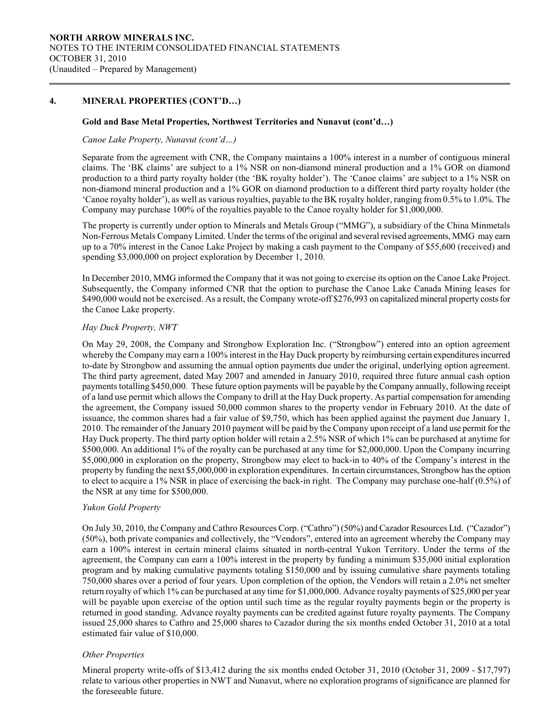## 4. MINERAL PROPERTIES (CONT'D…)

 $\overline{a}$ 

#### Gold and Base Metal Properties, Northwest Territories and Nunavut (cont'd…)

#### Canoe Lake Property, Nunavut (cont'd…)

Separate from the agreement with CNR, the Company maintains a 100% interest in a number of contiguous mineral claims. The 'BK claims' are subject to a 1% NSR on non-diamond mineral production and a 1% GOR on diamond production to a third party royalty holder (the 'BK royalty holder'). The 'Canoe claims' are subject to a 1% NSR on non-diamond mineral production and a 1% GOR on diamond production to a different third party royalty holder (the 'Canoe royalty holder'), as well as various royalties, payable to the BK royalty holder, ranging from 0.5% to 1.0%. The Company may purchase 100% of the royalties payable to the Canoe royalty holder for \$1,000,000.

The property is currently under option to Minerals and Metals Group ("MMG"), a subsidiary of the China Minmetals Non-Ferrous Metals Company Limited. Under the terms of the original and several revised agreements, MMG may earn up to a 70% interest in the Canoe Lake Project by making a cash payment to the Company of \$55,600 (received) and spending \$3,000,000 on project exploration by December 1, 2010.

In December 2010, MMG informed the Company that it was not going to exercise its option on the Canoe Lake Project. Subsequently, the Company informed CNR that the option to purchase the Canoe Lake Canada Mining leases for \$490,000 would not be exercised. As a result, the Company wrote-off \$276,993 on capitalized mineral property costs for the Canoe Lake property.

#### Hay Duck Property, NWT

On May 29, 2008, the Company and Strongbow Exploration Inc. ("Strongbow") entered into an option agreement whereby the Company may earn a 100% interest in the Hay Duck property by reimbursing certain expenditures incurred to-date by Strongbow and assuming the annual option payments due under the original, underlying option agreement. The third party agreement, dated May 2007 and amended in January 2010, required three future annual cash option payments totalling \$450,000. These future option payments will be payable by the Company annually, following receipt of a land use permit which allows the Company to drill at the Hay Duck property. As partial compensation for amending the agreement, the Company issued 50,000 common shares to the property vendor in February 2010. At the date of issuance, the common shares had a fair value of \$9,750, which has been applied against the payment due January 1, 2010. The remainder of the January 2010 payment will be paid by the Company upon receipt of a land use permit for the Hay Duck property. The third party option holder will retain a 2.5% NSR of which 1% can be purchased at anytime for \$500,000. An additional 1% of the royalty can be purchased at any time for \$2,000,000. Upon the Company incurring \$5,000,000 in exploration on the property, Strongbow may elect to back-in to 40% of the Company's interest in the property by funding the next \$5,000,000 in exploration expenditures. In certain circumstances, Strongbow has the option to elect to acquire a 1% NSR in place of exercising the back-in right. The Company may purchase one-half (0.5%) of the NSR at any time for \$500,000.

#### Yukon Gold Property

On July 30, 2010, the Company and Cathro Resources Corp. ("Cathro") (50%) and Cazador Resources Ltd. ("Cazador") (50%), both private companies and collectively, the "Vendors", entered into an agreement whereby the Company may earn a 100% interest in certain mineral claims situated in north-central Yukon Territory. Under the terms of the agreement, the Company can earn a 100% interest in the property by funding a minimum \$35,000 initial exploration program and by making cumulative payments totaling \$150,000 and by issuing cumulative share payments totaling 750,000 shares over a period of four years. Upon completion of the option, the Vendors will retain a 2.0% net smelter return royalty of which 1% can be purchased at any time for \$1,000,000. Advance royalty payments of \$25,000 per year will be payable upon exercise of the option until such time as the regular royalty payments begin or the property is returned in good standing. Advance royalty payments can be credited against future royalty payments. The Company issued 25,000 shares to Cathro and 25,000 shares to Cazador during the six months ended October 31, 2010 at a total estimated fair value of \$10,000.

#### Other Properties

Mineral property write-offs of \$13,412 during the six months ended October 31, 2010 (October 31, 2009 - \$17,797) relate to various other properties in NWT and Nunavut, where no exploration programs of significance are planned for the foreseeable future.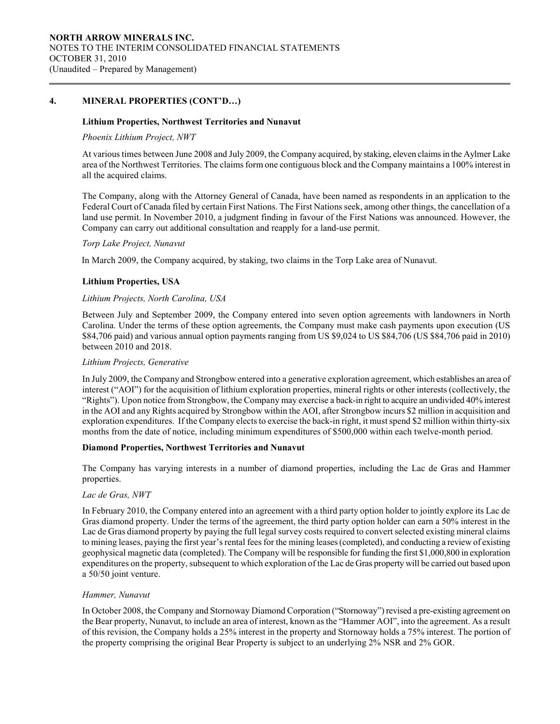## 4. MINERAL PROPERTIES (CONT'D…)

 $\overline{a}$ 

#### Lithium Properties, Northwest Territories and Nunavut

#### Phoenix Lithium Project, NWT

At various times between June 2008 and July 2009, the Company acquired, by staking, eleven claims in the Aylmer Lake area of the Northwest Territories. The claims form one contiguous block and the Company maintains a 100% interest in all the acquired claims.

The Company, along with the Attorney General of Canada, have been named as respondents in an application to the Federal Court of Canada filed by certain First Nations. The First Nations seek, among other things, the cancellation of a land use permit. In November 2010, a judgment finding in favour of the First Nations was announced. However, the Company can carry out additional consultation and reapply for a land-use permit.

#### Torp Lake Project, Nunavut

In March 2009, the Company acquired, by staking, two claims in the Torp Lake area of Nunavut.

#### Lithium Properties, USA

#### Lithium Projects, North Carolina, USA

Between July and September 2009, the Company entered into seven option agreements with landowners in North Carolina. Under the terms of these option agreements, the Company must make cash payments upon execution (US \$84,706 paid) and various annual option payments ranging from US \$9,024 to US \$84,706 (US \$84,706 paid in 2010) between 2010 and 2018.

#### Lithium Projects, Generative

In July 2009, the Company and Strongbow entered into a generative exploration agreement, which establishes an area of interest ("AOI") for the acquisition of lithium exploration properties, mineral rights or other interests (collectively, the "Rights"). Upon notice from Strongbow, the Company may exercise a back-in right to acquire an undivided 40% interest in the AOI and any Rights acquired by Strongbow within the AOI, after Strongbow incurs \$2 million in acquisition and exploration expenditures. If the Company elects to exercise the back-in right, it must spend \$2 million within thirty-six months from the date of notice, including minimum expenditures of \$500,000 within each twelve-month period.

#### Diamond Properties, Northwest Territories and Nunavut

The Company has varying interests in a number of diamond properties, including the Lac de Gras and Hammer properties.

#### Lac de Gras, NWT

In February 2010, the Company entered into an agreement with a third party option holder to jointly explore its Lac de Gras diamond property. Under the terms of the agreement, the third party option holder can earn a 50% interest in the Lac de Gras diamond property by paying the full legal survey costs required to convert selected existing mineral claims to mining leases, paying the first year's rental fees for the mining leases (completed), and conducting a review of existing geophysical magnetic data (completed). The Company will be responsible for funding the first \$1,000,800 in exploration expenditures on the property, subsequent to which exploration of the Lac de Gras property will be carried out based upon a 50/50 joint venture.

#### Hammer, Nunavut

In October 2008, the Company and Stornoway Diamond Corporation ("Stornoway") revised a pre-existing agreement on the Bear property, Nunavut, to include an area of interest, known as the "Hammer AOI", into the agreement. As a result of this revision, the Company holds a 25% interest in the property and Stornoway holds a 75% interest. The portion of the property comprising the original Bear Property is subject to an underlying 2% NSR and 2% GOR.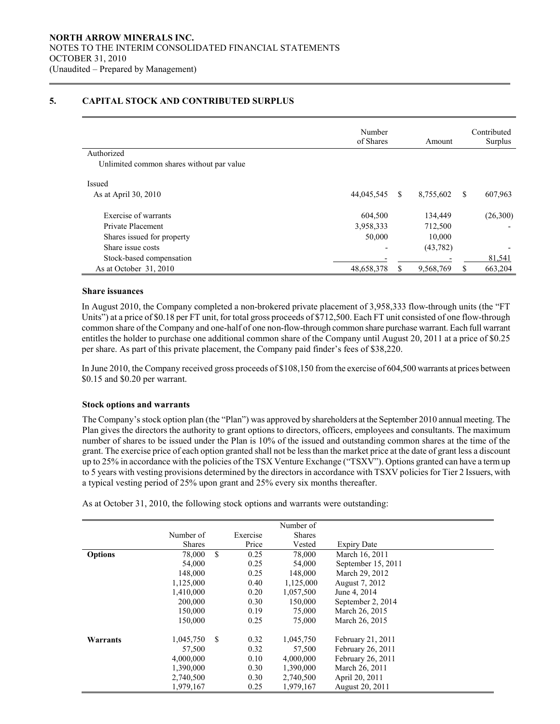# 5. CAPITAL STOCK AND CONTRIBUTED SURPLUS

|                                           | Number<br>of Shares |    | Amount    |    | Contributed<br>Surplus |
|-------------------------------------------|---------------------|----|-----------|----|------------------------|
| Authorized                                |                     |    |           |    |                        |
| Unlimited common shares without par value |                     |    |           |    |                        |
| Issued                                    |                     |    |           |    |                        |
| As at April 30, 2010                      | 44,045,545          | -S | 8,755,602 | S. | 607,963                |
| Exercise of warrants                      | 604,500             |    | 134,449   |    | (26,300)               |
| Private Placement                         | 3,958,333           |    | 712,500   |    |                        |
| Shares issued for property                | 50,000              |    | 10,000    |    |                        |
| Share issue costs                         |                     |    | (43, 782) |    |                        |
| Stock-based compensation                  |                     |    |           |    | 81,541                 |
| As at October 31, 2010                    | 48,658,378          |    | 9,568,769 | \$ | 663,204                |

#### Share issuances

 $\overline{a}$ 

In August 2010, the Company completed a non-brokered private placement of 3,958,333 flow-through units (the "FT Units") at a price of \$0.18 per FT unit, for total gross proceeds of \$712,500. Each FT unit consisted of one flow-through common share of the Company and one-half of one non-flow-through common share purchase warrant. Each full warrant entitles the holder to purchase one additional common share of the Company until August 20, 2011 at a price of \$0.25 per share. As part of this private placement, the Company paid finder's fees of \$38,220.

In June 2010, the Company received gross proceeds of \$108,150 from the exercise of 604,500 warrants at prices between \$0.15 and \$0.20 per warrant.

#### Stock options and warrants

 The Company's stock option plan (the "Plan") was approved by shareholders at the September 2010 annual meeting. The Plan gives the directors the authority to grant options to directors, officers, employees and consultants. The maximum number of shares to be issued under the Plan is 10% of the issued and outstanding common shares at the time of the grant. The exercise price of each option granted shall not be less than the market price at the date of grant less a discount up to 25% in accordance with the policies of the TSX Venture Exchange ("TSXV"). Options granted can have a term up to 5 years with vesting provisions determined by the directors in accordance with TSXV policies for Tier 2 Issuers, with a typical vesting period of 25% upon grant and 25% every six months thereafter.

As at October 31, 2010, the following stock options and warrants were outstanding:

|                |               |               |          | Number of     |                    |
|----------------|---------------|---------------|----------|---------------|--------------------|
|                | Number of     |               | Exercise | <b>Shares</b> |                    |
|                | <b>Shares</b> |               | Price    | Vested        | <b>Expiry Date</b> |
| <b>Options</b> | 78,000        | \$            | 0.25     | 78,000        | March 16, 2011     |
|                | 54,000        |               | 0.25     | 54,000        | September 15, 2011 |
|                | 148,000       |               | 0.25     | 148,000       | March 29, 2012     |
|                | 1,125,000     |               | 0.40     | 1,125,000     | August 7, 2012     |
|                | 1,410,000     |               | 0.20     | 1,057,500     | June 4, 2014       |
|                | 200,000       |               | 0.30     | 150,000       | September 2, 2014  |
|                | 150,000       |               | 0.19     | 75,000        | March 26, 2015     |
|                | 150,000       |               | 0.25     | 75,000        | March 26, 2015     |
| Warrants       | 1,045,750     | <sup>\$</sup> | 0.32     | 1,045,750     | February 21, 2011  |
|                | 57,500        |               | 0.32     | 57,500        | February 26, 2011  |
|                | 4,000,000     |               | 0.10     | 4.000.000     | February 26, 2011  |
|                | 1,390,000     |               | 0.30     | 1,390,000     | March 26, 2011     |
|                | 2,740,500     |               | 0.30     | 2.740.500     | April 20, 2011     |
|                | 1.979.167     |               | 0.25     | 1.979.167     | August 20, 2011    |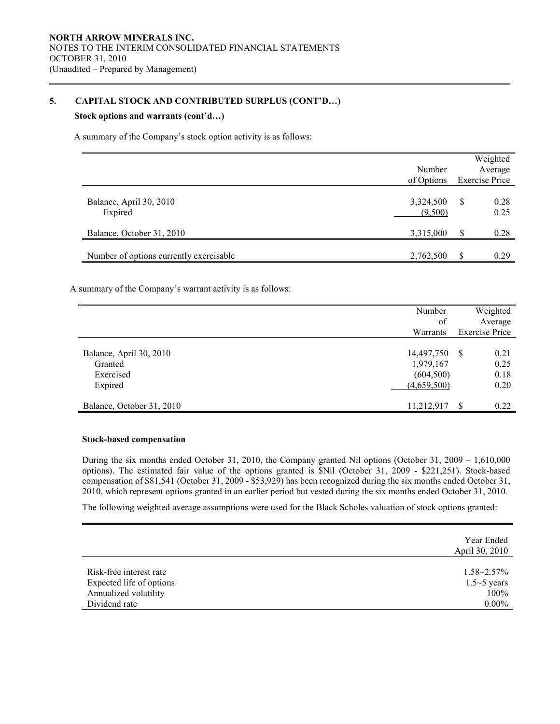# 5. CAPITAL STOCK AND CONTRIBUTED SURPLUS (CONT'D…)

# Stock options and warrants (cont'd…)

 $\overline{a}$ 

A summary of the Company's stock option activity is as follows:

|                                         |                      |    | Weighted              |
|-----------------------------------------|----------------------|----|-----------------------|
|                                         | Number               |    | Average               |
|                                         | of Options           |    | <b>Exercise Price</b> |
| Balance, April 30, 2010<br>Expired      | 3,324,500<br>(9,500) | S  | 0.28<br>0.25          |
| Balance, October 31, 2010               | 3,315,000            | \$ | 0.28                  |
| Number of options currently exercisable | 2,762,500            | S  | 0.29                  |

A summary of the Company's warrant activity is as follows:

|                           | Number      | Weighted              |
|---------------------------|-------------|-----------------------|
|                           | of          | Average               |
|                           | Warrants    | <b>Exercise Price</b> |
|                           |             |                       |
| Balance, April 30, 2010   | 14,497,750  | 0.21<br>- S           |
| Granted                   | 1,979,167   | 0.25                  |
| Exercised                 | (604, 500)  | 0.18                  |
| Expired                   | (4,659,500) | 0.20                  |
|                           |             |                       |
| Balance, October 31, 2010 | 11,212,917  | 0.22                  |

#### Stock-based compensation

 During the six months ended October 31, 2010, the Company granted Nil options (October 31, 2009 – 1,610,000 options). The estimated fair value of the options granted is \$Nil (October 31, 2009 - \$221,251). Stock-based compensation of \$81,541 (October 31, 2009 - \$53,929) has been recognized during the six months ended October 31, 2010, which represent options granted in an earlier period but vested during the six months ended October 31, 2010.

The following weighted average assumptions were used for the Black Scholes valuation of stock options granted:

|                          | Year Ended<br>April 30, 2010 |
|--------------------------|------------------------------|
| Risk-free interest rate  | $1.58 - 2.57\%$              |
| Expected life of options | $1.5 \sim 5$ years           |
| Annualized volatility    | 100%                         |
| Dividend rate            | $0.00\%$                     |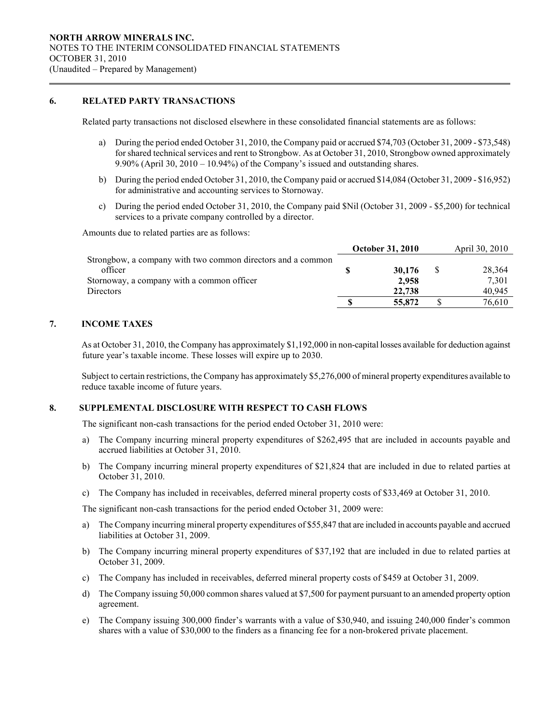# 6. RELATED PARTY TRANSACTIONS

 $\overline{a}$ 

Related party transactions not disclosed elsewhere in these consolidated financial statements are as follows:

- a) During the period ended October 31, 2010, the Company paid or accrued \$74,703 (October 31, 2009 \$73,548) for shared technical services and rent to Strongbow. As at October 31, 2010, Strongbow owned approximately 9.90% (April 30,  $2010 - 10.94\%$ ) of the Company's issued and outstanding shares.
- b) During the period ended October 31, 2010, the Company paid or accrued \$14,084 (October 31, 2009 \$16,952) for administrative and accounting services to Stornoway.
- c) During the period ended October 31, 2010, the Company paid \$Nil (October 31, 2009 \$5,200) for technical services to a private company controlled by a director.

Amounts due to related parties are as follows:

|                                                             | <b>October 31, 2010</b> | April 30, 2010 |        |  |
|-------------------------------------------------------------|-------------------------|----------------|--------|--|
| Strongbow, a company with two common directors and a common |                         |                |        |  |
| officer                                                     | 30,176                  |                | 28,364 |  |
| Stornoway, a company with a common officer                  | 2.958                   |                | 7.301  |  |
| <b>Directors</b>                                            | 22,738                  |                | 40.945 |  |
|                                                             | 55,872                  |                | 76,610 |  |
|                                                             |                         |                |        |  |

# 7. INCOME TAXES

 As at October 31, 2010, the Company has approximately \$1,192,000 in non-capital losses available for deduction against future year's taxable income. These losses will expire up to 2030.

Subject to certain restrictions, the Company has approximately \$5,276,000 of mineral property expenditures available to reduce taxable income of future years.

## 8. SUPPLEMENTAL DISCLOSURE WITH RESPECT TO CASH FLOWS

The significant non-cash transactions for the period ended October 31, 2010 were:

- a) The Company incurring mineral property expenditures of \$262,495 that are included in accounts payable and accrued liabilities at October 31, 2010.
- b) The Company incurring mineral property expenditures of \$21,824 that are included in due to related parties at October 31, 2010.
- c) The Company has included in receivables, deferred mineral property costs of \$33,469 at October 31, 2010.

The significant non-cash transactions for the period ended October 31, 2009 were:

- a) The Company incurring mineral property expenditures of \$55,847 that are included in accounts payable and accrued liabilities at October 31, 2009.
- b) The Company incurring mineral property expenditures of \$37,192 that are included in due to related parties at October 31, 2009.
- c) The Company has included in receivables, deferred mineral property costs of \$459 at October 31, 2009.
- d) The Company issuing 50,000 common shares valued at \$7,500 for payment pursuant to an amended property option agreement.
- e) The Company issuing 300,000 finder's warrants with a value of \$30,940, and issuing 240,000 finder's common shares with a value of \$30,000 to the finders as a financing fee for a non-brokered private placement.